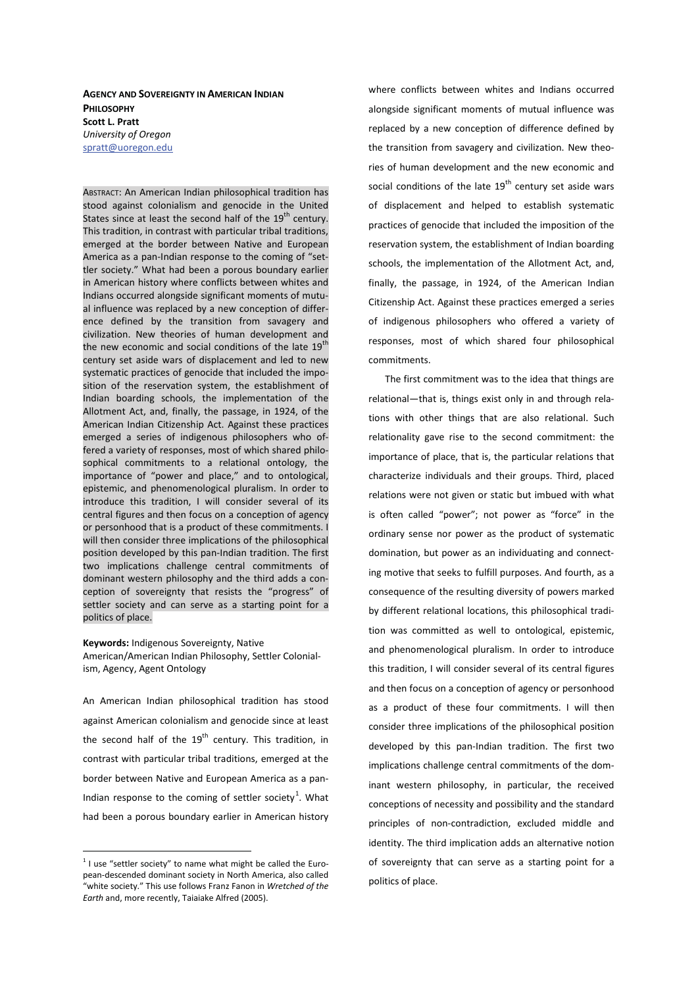**AGENCY AND SOVEREIGNTY IN AMERICAN INDIAN PHILOSOPHY Scott L. Pratt** *University of Oregon*  spratt@uoregon.edu

ABSTRACT: An American Indian philosophical tradition has stood against colonialism and genocide in the United States since at least the second half of the  $19<sup>th</sup>$  century. This tradition, in contrast with particular tribal traditions, emerged at the border between Native and European America as a pan-Indian response to the coming of "settler society." What had been a porous boundary earlier in American history where conflicts between whites and Indians occurred alongside significant moments of mutual influence was replaced by a new conception of difference defined by the transition from savagery and civilization. New theories of human development and the new economic and social conditions of the late 19<sup>th</sup> century set aside wars of displacement and led to new systematic practices of genocide that included the imposition of the reservation system, the establishment of Indian boarding schools, the implementation of the Allotment Act, and, finally, the passage, in 1924, of the American Indian Citizenship Act. Against these practices emerged a series of indigenous philosophers who offered a variety of responses, most of which shared philosophical commitments to a relational ontology, the importance of "power and place," and to ontological, epistemic, and phenomenological pluralism. In order to introduce this tradition, I will consider several of its central figures and then focus on a conception of agency or personhood that is a product of these commitments. I will then consider three implications of the philosophical position developed by this pan-Indian tradition. The first two implications challenge central commitments of dominant western philosophy and the third adds a conception of sovereignty that resists the "progress" of settler society and can serve as a starting point for a politics of place.

Keywords: Indigenous Sovereignty, Native American/American Indian Philosophy, Settler Colonialism, Agency, Agent Ontology

An American Indian philosophical tradition has stood against American colonialism and genocide since at least the second half of the  $19<sup>th</sup>$  century. This tradition, in contrast with particular tribal traditions, emerged at the border between Native and European America as a pan-Indian response to the coming of settler society<sup>1</sup>. What had been a porous boundary earlier in American history

where conflicts between whites and Indians occurred alongside significant moments of mutual influence was replaced by a new conception of difference defined by the transition from savagery and civilization. New theories of human development and the new economic and social conditions of the late  $19<sup>th</sup>$  century set aside wars of displacement and helped to establish systematic practices of genocide that included the imposition of the reservation system, the establishment of Indian boarding schools, the implementation of the Allotment Act, and, finally, the passage, in 1924, of the American Indian Citizenship Act. Against these practices emerged a series of indigenous philosophers who offered a variety of responses, most of which shared four philosophical commitments.

The first commitment was to the idea that things are relational—that is, things exist only in and through relations with other things that are also relational. Such relationality gave rise to the second commitment: the importance of place, that is, the particular relations that characterize individuals and their groups. Third, placed relations were not given or static but imbued with what is often called "power"; not power as "force" in the ordinary sense nor power as the product of systematic domination, but power as an individuating and connecting motive that seeks to fulfill purposes. And fourth, as a consequence of the resulting diversity of powers marked by different relational locations, this philosophical tradition was committed as well to ontological, epistemic, and phenomenological pluralism. In order to introduce this tradition, I will consider several of its central figures and then focus on a conception of agency or personhood as a product of these four commitments. I will then consider three implications of the philosophical position developed by this pan-Indian tradition. The first two implications challenge central commitments of the dominant western philosophy, in particular, the received conceptions of necessity and possibility and the standard principles of non-contradiction, excluded middle and identity. The third implication adds an alternative notion of sovereignty that can serve as a starting point for a politics of place.

 $1$  I use "settler society" to name what might be called the European-descended dominant society in North America, also called "white society." This use follows Franz Fanon in *Wretched of the Earth* and, more recently, Taiaiake Alfred (2005).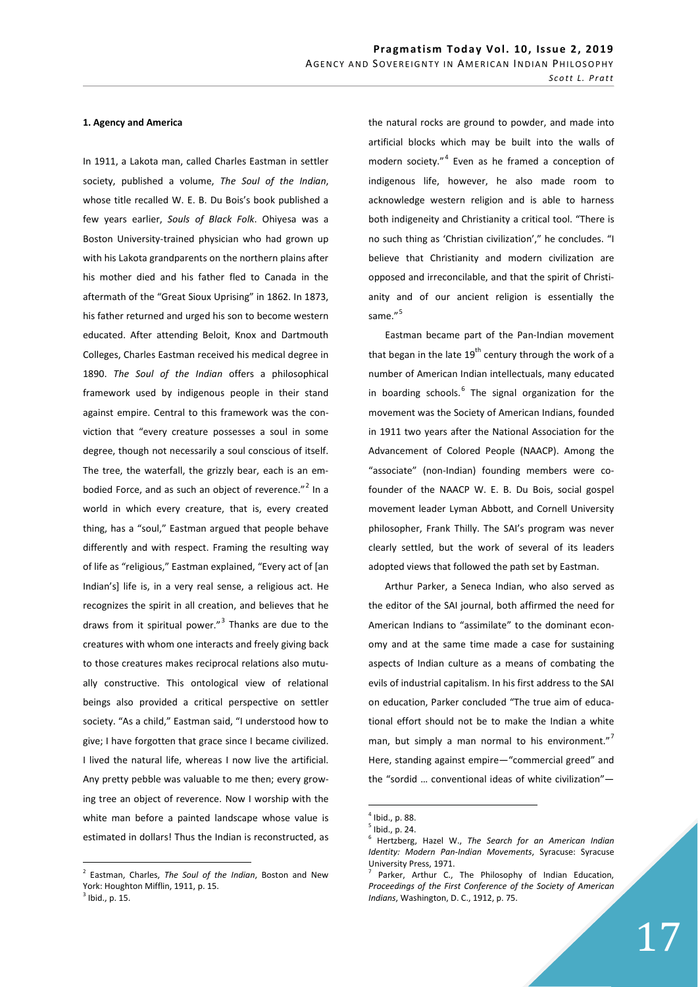## 1. Agency and America

In 1911, a Lakota man, called Charles Eastman in settler society, published a volume, *The Soul of the Indian*, whose title recalled W. E. B. Du Bois's book published a few years earlier, *Souls of Black Folk*. Ohiyesa was a Boston University-trained physician who had grown up with his Lakota grandparents on the northern plains after his mother died and his father fled to Canada in the aftermath of the "Great Sioux Uprising" in 1862. In 1873, his father returned and urged his son to become western educated. After attending Beloit, Knox and Dartmouth Colleges, Charles Eastman received his medical degree in 1890. *The Soul of the Indian* offers a philosophical framework used by indigenous people in their stand against empire. Central to this framework was the conviction that "every creature possesses a soul in some degree, though not necessarily a soul conscious of itself. The tree, the waterfall, the grizzly bear, each is an embodied Force, and as such an object of reverence. $^{n^2}$  In a world in which every creature, that is, every created thing, has a "soul," Eastman argued that people behave differently and with respect. Framing the resulting way of life as "religious," Eastman explained, "Every act of [an Indian's] life is, in a very real sense, a religious act. He recognizes the spirit in all creation, and believes that he draws from it spiritual power."<sup>3</sup> Thanks are due to the creatures with whom one interacts and freely giving back to those creatures makes reciprocal relations also mutually constructive. This ontological view of relational beings also provided a critical perspective on settler society. "As a child," Eastman said, "I understood how to give; I have forgotten that grace since I became civilized. I lived the natural life, whereas I now live the artificial. Any pretty pebble was valuable to me then; every growing tree an object of reverence. Now I worship with the white man before a painted landscape whose value is estimated in dollars! Thus the Indian is reconstructed, as the natural rocks are ground to powder, and made into artificial blocks which may be built into the walls of modern society."<sup>4</sup> Even as he framed a conception of indigenous life, however, he also made room to acknowledge western religion and is able to harness both indigeneity and Christianity a critical tool. "There is no such thing as 'Christian civilization'," he concludes. "I believe that Christianity and modern civilization are opposed and irreconcilable, and that the spirit of Christianity and of our ancient religion is essentially the same."<sup>5</sup>

Eastman became part of the Pan-Indian movement that began in the late  $19^{th}$  century through the work of a number of American Indian intellectuals, many educated in boarding schools.<sup>6</sup> The signal organization for the movement was the Society of American Indians, founded in 1911 two years after the National Association for the Advancement of Colored People (NAACP). Among the "associate" (non-Indian) founding members were cofounder of the NAACP W. E. B. Du Bois, social gospel movement leader Lyman Abbott, and Cornell University philosopher, Frank Thilly. The SAI's program was never clearly settled, but the work of several of its leaders adopted views that followed the path set by Eastman.

Arthur Parker, a Seneca Indian, who also served as the editor of the SAI journal, both affirmed the need for American Indians to "assimilate" to the dominant economy and at the same time made a case for sustaining aspects of Indian culture as a means of combating the evils of industrial capitalism. In his first address to the SAI on education, Parker concluded "The true aim of educational effort should not be to make the Indian a white man, but simply a man normal to his environment."<sup>7</sup> Here, standing against empire—"commercial greed" and the "sordid … conventional ideas of white civilization"—

<sup>2</sup> Eastman, Charles, *The Soul of the Indian*, Boston and New York: Houghton Mifflin, 1911, p. 15.

 $<sup>3</sup>$  Ibid., p. 15.</sup>

<sup>4</sup> Ibid., p. 88.

<sup>5</sup> Ibid., p. 24.

<sup>6</sup> Hertzberg, Hazel W., *The Search for an American Indian Identity: Modern Pan-Indian Movements*, Syracuse: Syracuse University Press, 1971.

<sup>7</sup> Parker, Arthur C., The Philosophy of Indian Education, *Proceedings of the First Conference of the Society of American Indians*, Washington, D. C., 1912, p. 75.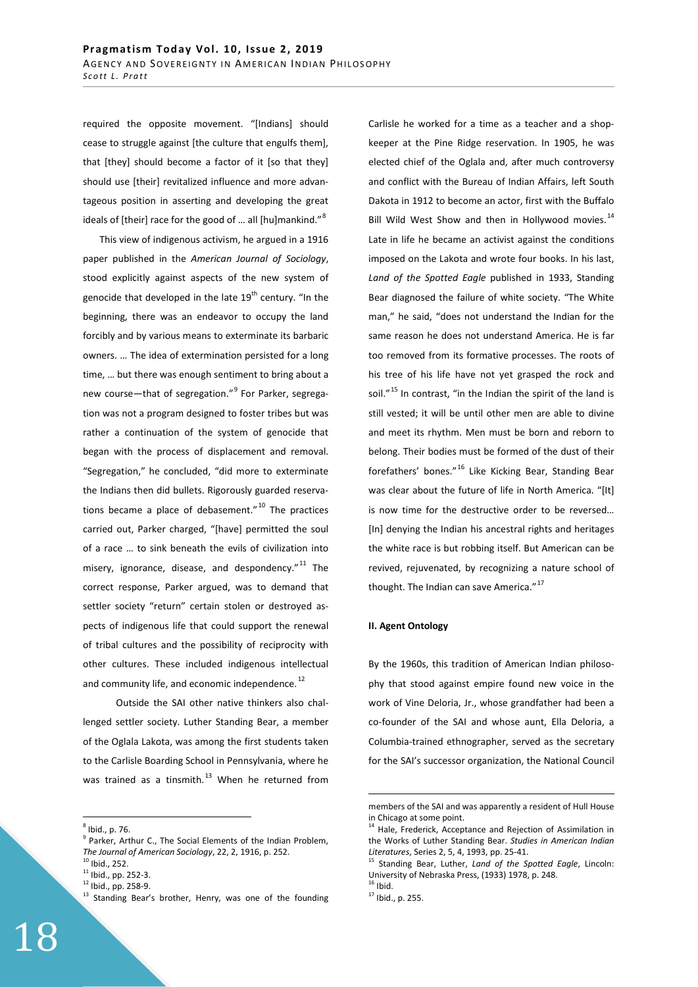required the opposite movement. "[Indians] should cease to struggle against [the culture that engulfs them], that [they] should become a factor of it [so that they] should use [their] revitalized influence and more advantageous position in asserting and developing the great ideals of [their] race for the good of ... all [hu]mankind."<sup>8</sup>

This view of indigenous activism, he argued in a 1916 paper published in the *American Journal of Sociology*, stood explicitly against aspects of the new system of genocide that developed in the late  $19<sup>th</sup>$  century. "In the beginning, there was an endeavor to occupy the land forcibly and by various means to exterminate its barbaric owners. … The idea of extermination persisted for a long time, … but there was enough sentiment to bring about a new course—that of segregation."<sup>9</sup> For Parker, segregation was not a program designed to foster tribes but was rather a continuation of the system of genocide that began with the process of displacement and removal. "Segregation," he concluded, "did more to exterminate the Indians then did bullets. Rigorously guarded reservations became a place of debasement." $10$  The practices carried out, Parker charged, "[have] permitted the soul of a race … to sink beneath the evils of civilization into misery, ignorance, disease, and despondency."<sup>11</sup> The correct response, Parker argued, was to demand that settler society "return" certain stolen or destroyed aspects of indigenous life that could support the renewal of tribal cultures and the possibility of reciprocity with other cultures. These included indigenous intellectual and community life, and economic independence.<sup>12</sup>

 Outside the SAI other native thinkers also challenged settler society. Luther Standing Bear, a member of the Oglala Lakota, was among the first students taken to the Carlisle Boarding School in Pennsylvania, where he was trained as a tinsmith. $13$  When he returned from

Carlisle he worked for a time as a teacher and a shopkeeper at the Pine Ridge reservation. In 1905, he was elected chief of the Oglala and, after much controversy and conflict with the Bureau of Indian Affairs, left South Dakota in 1912 to become an actor, first with the Buffalo Bill Wild West Show and then in Hollywood movies.<sup>14</sup> Late in life he became an activist against the conditions imposed on the Lakota and wrote four books. In his last, *Land of the Spotted Eagle* published in 1933, Standing Bear diagnosed the failure of white society. "The White man," he said, "does not understand the Indian for the same reason he does not understand America. He is far too removed from its formative processes. The roots of his tree of his life have not yet grasped the rock and soil."<sup>15</sup> In contrast, "in the Indian the spirit of the land is still vested; it will be until other men are able to divine and meet its rhythm. Men must be born and reborn to belong. Their bodies must be formed of the dust of their forefathers' bones."16 Like Kicking Bear, Standing Bear was clear about the future of life in North America. "[It] is now time for the destructive order to be reversed… [In] denying the Indian his ancestral rights and heritages the white race is but robbing itself. But American can be revived, rejuvenated, by recognizing a nature school of thought. The Indian can save America."<sup>17</sup>

## **II. Agent Ontology**

By the 1960s, this tradition of American Indian philosophy that stood against empire found new voice in the work of Vine Deloria, Jr., whose grandfather had been a co-founder of the SAI and whose aunt, Ella Deloria, a Columbia-trained ethnographer, served as the secretary for the SAI's successor organization, the National Council

<sup>8</sup> Ibid., p. 76.

 $9$  Parker, Arthur C., The Social Elements of the Indian Problem, *The Journal of American Sociology, 22, 2, 1916, p. 252.* <sup>10</sup> Ibid., 252.

 $11$  Ibid., pp. 252-3.

<sup>12</sup> Ibid., pp. 258-9.

<sup>&</sup>lt;sup>13</sup> Standing Bear's brother, Henry, was one of the founding

members of the SAI and was apparently a resident of Hull House in Chicago at some point.

<sup>&</sup>lt;sup>14</sup> Hale, Frederick, Acceptance and Rejection of Assimilation in the Works of Luther Standing Bear. *Studies in American Indian Literatures*, Series 2, 5, 4, 1993, pp. 25-41. 15 Standing Bear, Luther, *Land of the Spotted Eagle*, Lincoln:

University of Nebraska Press, (1933) 1978, p. 248.  $16$  Ibid.

 $17$  Ibid., p. 255.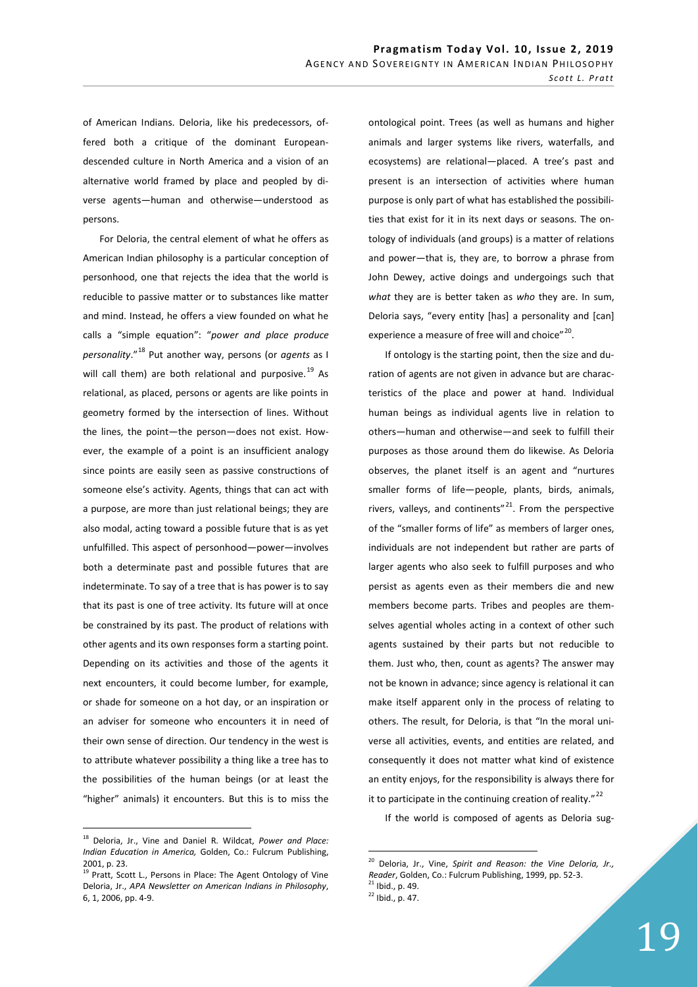of American Indians. Deloria, like his predecessors, offered both a critique of the dominant Europeandescended culture in North America and a vision of an alternative world framed by place and peopled by diverse agents—human and otherwise—understood as persons.

For Deloria, the central element of what he offers as American Indian philosophy is a particular conception of personhood, one that rejects the idea that the world is reducible to passive matter or to substances like matter and mind. Instead, he offers a view founded on what he calls a "simple equation": "*power and place produce personality*."18 Put another way, persons (or *agents* as I will call them) are both relational and purposive. $^{19}$  As relational, as placed, persons or agents are like points in geometry formed by the intersection of lines. Without the lines, the point—the person—does not exist. However, the example of a point is an insufficient analogy since points are easily seen as passive constructions of someone else's activity. Agents, things that can act with a purpose, are more than just relational beings; they are also modal, acting toward a possible future that is as yet unfulfilled. This aspect of personhood—power—involves both a determinate past and possible futures that are indeterminate. To say of a tree that is has power is to say that its past is one of tree activity. Its future will at once be constrained by its past. The product of relations with other agents and its own responses form a starting point. Depending on its activities and those of the agents it next encounters, it could become lumber, for example, or shade for someone on a hot day, or an inspiration or an adviser for someone who encounters it in need of their own sense of direction. Our tendency in the west is to attribute whatever possibility a thing like a tree has to the possibilities of the human beings (or at least the "higher" animals) it encounters. But this is to miss the ontological point. Trees (as well as humans and higher animals and larger systems like rivers, waterfalls, and ecosystems) are relational—placed. A tree's past and present is an intersection of activities where human purpose is only part of what has established the possibilities that exist for it in its next days or seasons. The ontology of individuals (and groups) is a matter of relations and power—that is, they are, to borrow a phrase from John Dewey, active doings and undergoings such that *what* they are is better taken as *who* they are. In sum, Deloria says, "every entity [has] a personality and [can] experience a measure of free will and choice"<sup>20</sup>.

If ontology is the starting point, then the size and duration of agents are not given in advance but are characteristics of the place and power at hand. Individual human beings as individual agents live in relation to others—human and otherwise—and seek to fulfill their purposes as those around them do likewise. As Deloria observes, the planet itself is an agent and "nurtures smaller forms of life—people, plants, birds, animals, rivers, valleys, and continents" $^{21}$ . From the perspective of the "smaller forms of life" as members of larger ones, individuals are not independent but rather are parts of larger agents who also seek to fulfill purposes and who persist as agents even as their members die and new members become parts. Tribes and peoples are themselves agential wholes acting in a context of other such agents sustained by their parts but not reducible to them. Just who, then, count as agents? The answer may not be known in advance; since agency is relational it can make itself apparent only in the process of relating to others. The result, for Deloria, is that "In the moral universe all activities, events, and entities are related, and consequently it does not matter what kind of existence an entity enjoys, for the responsibility is always there for it to participate in the continuing creation of reality." $^{22}$ 

If the world is composed of agents as Deloria sug-

<sup>18</sup> Deloria, Jr., Vine and Daniel R. Wildcat, *Power and Place: Indian Education in America,* Golden, Co.: Fulcrum Publishing, 2001, p. 23.

<sup>&</sup>lt;sup>19</sup> Pratt, Scott L., Persons in Place: The Agent Ontology of Vine Deloria, Jr., *APA Newsletter on American Indians in Philosophy*, 6, 1, 2006, pp. 4-9.

<sup>20</sup> Deloria, Jr., Vine, *Spirit and Reason: the Vine Deloria, Jr., Reader*, Golden, Co.: Fulcrum Publishing, 1999, pp. 52-3. 21 Ibid., p. 49.

 $22$  Ibid., p. 47.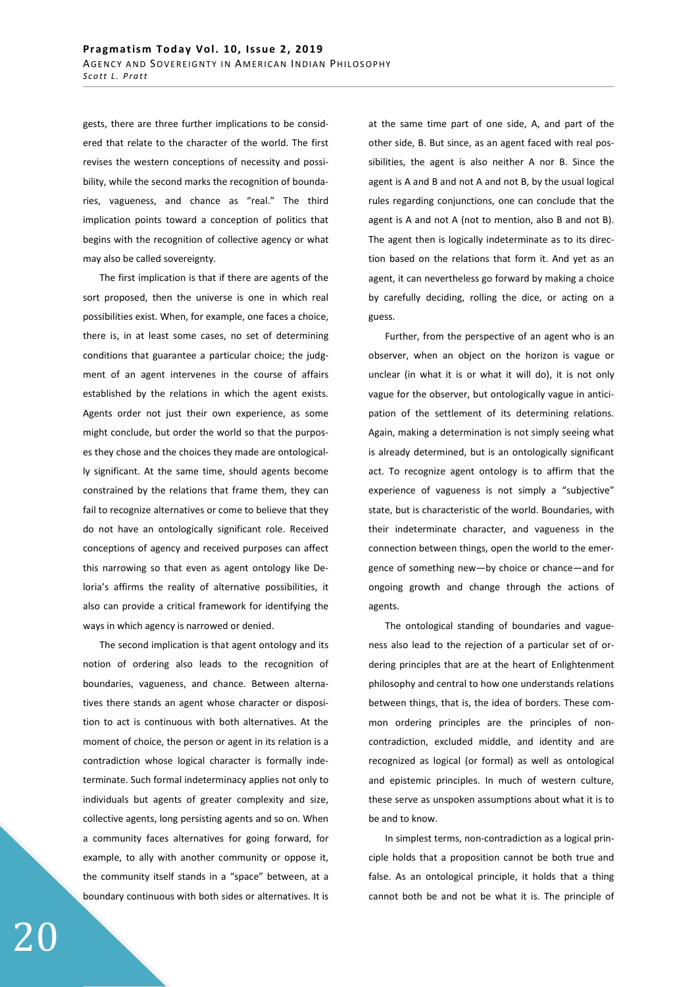gests, there are three further implications to be considered that relate to the character of the world. The first revises the western conceptions of necessity and possibility, while the second marks the recognition of boundaries, vagueness, and chance as "real." The third implication points toward a conception of politics that begins with the recognition of collective agency or what may also be called sovereignty.

The first implication is that if there are agents of the sort proposed, then the universe is one in which real possibilities exist. When, for example, one faces a choice, there is, in at least some cases, no set of determining conditions that guarantee a particular choice; the judgment of an agent intervenes in the course of affairs established by the relations in which the agent exists. Agents order not just their own experience, as some might conclude, but order the world so that the purposes they chose and the choices they made are ontologically significant. At the same time, should agents become constrained by the relations that frame them, they can fail to recognize alternatives or come to believe that they do not have an ontologically significant role. Received conceptions of agency and received purposes can affect this narrowing so that even as agent ontology like Deloria's affirms the reality of alternative possibilities, it also can provide a critical framework for identifying the ways in which agency is narrowed or denied.

The second implication is that agent ontology and its notion of ordering also leads to the recognition of boundaries, vagueness, and chance. Between alternatives there stands an agent whose character or disposition to act is continuous with both alternatives. At the moment of choice, the person or agent in its relation is a contradiction whose logical character is formally indeterminate. Such formal indeterminacy applies not only to individuals but agents of greater complexity and size, collective agents, long persisting agents and so on. When a community faces alternatives for going forward, for example, to ally with another community or oppose it, the community itself stands in a "space" between, at a boundary continuous with both sides or alternatives. It is at the same time part of one side, A, and part of the other side, B. But since, as an agent faced with real possibilities, the agent is also neither A nor B. Since the agent is A and B and not A and not B, by the usual logical rules regarding conjunctions, one can conclude that the agent is A and not A (not to mention, also B and not B). The agent then is logically indeterminate as to its direction based on the relations that form it. And yet as an agent, it can nevertheless go forward by making a choice by carefully deciding, rolling the dice, or acting on a guess.

Further, from the perspective of an agent who is an observer, when an object on the horizon is vague or unclear (in what it is or what it will do), it is not only vague for the observer, but ontologically vague in anticipation of the settlement of its determining relations. Again, making a determination is not simply seeing what is already determined, but is an ontologically significant act. To recognize agent ontology is to affirm that the experience of vagueness is not simply a "subjective" state, but is characteristic of the world. Boundaries, with their indeterminate character, and vagueness in the connection between things, open the world to the emergence of something new—by choice or chance—and for ongoing growth and change through the actions of agents.

The ontological standing of boundaries and vagueness also lead to the rejection of a particular set of ordering principles that are at the heart of Enlightenment philosophy and central to how one understands relations between things, that is, the idea of borders. These common ordering principles are the principles of noncontradiction, excluded middle, and identity and are recognized as logical (or formal) as well as ontological and epistemic principles. In much of western culture, these serve as unspoken assumptions about what it is to be and to know.

In simplest terms, non-contradiction as a logical principle holds that a proposition cannot be both true and false. As an ontological principle, it holds that a thing cannot both be and not be what it is. The principle of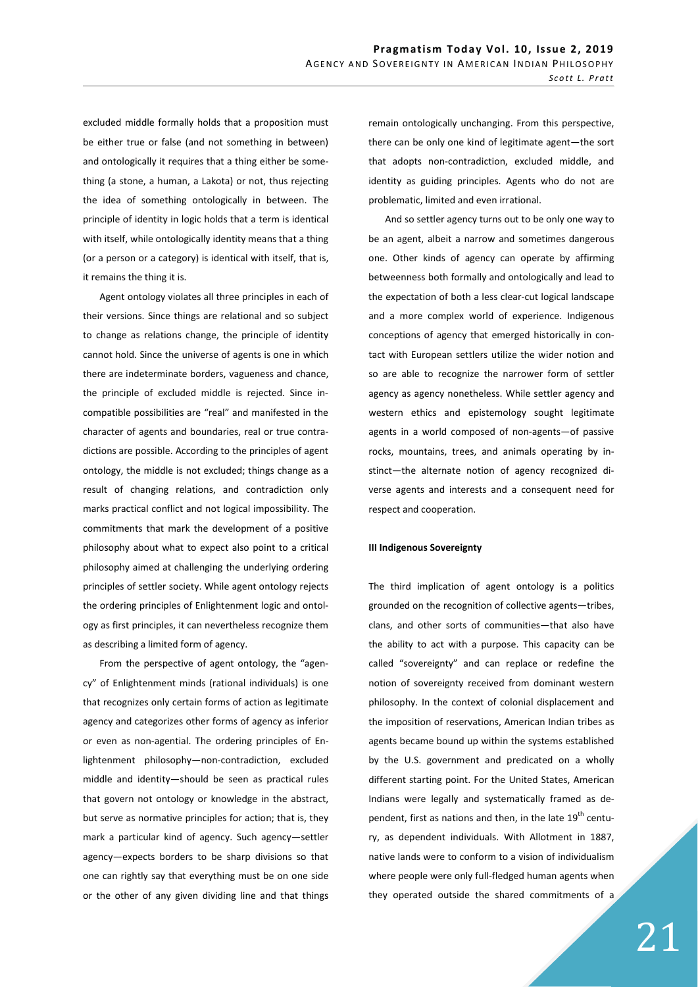excluded middle formally holds that a proposition must be either true or false (and not something in between) and ontologically it requires that a thing either be something (a stone, a human, a Lakota) or not, thus rejecting the idea of something ontologically in between. The principle of identity in logic holds that a term is identical with itself, while ontologically identity means that a thing (or a person or a category) is identical with itself, that is, it remains the thing it is.

Agent ontology violates all three principles in each of their versions. Since things are relational and so subject to change as relations change, the principle of identity cannot hold. Since the universe of agents is one in which there are indeterminate borders, vagueness and chance, the principle of excluded middle is rejected. Since incompatible possibilities are "real" and manifested in the character of agents and boundaries, real or true contradictions are possible. According to the principles of agent ontology, the middle is not excluded; things change as a result of changing relations, and contradiction only marks practical conflict and not logical impossibility. The commitments that mark the development of a positive philosophy about what to expect also point to a critical philosophy aimed at challenging the underlying ordering principles of settler society. While agent ontology rejects the ordering principles of Enlightenment logic and ontology as first principles, it can nevertheless recognize them as describing a limited form of agency.

From the perspective of agent ontology, the "agency" of Enlightenment minds (rational individuals) is one that recognizes only certain forms of action as legitimate agency and categorizes other forms of agency as inferior or even as non-agential. The ordering principles of Enlightenment philosophy—non-contradiction, excluded middle and identity—should be seen as practical rules that govern not ontology or knowledge in the abstract, but serve as normative principles for action; that is, they mark a particular kind of agency. Such agency—settler agency—expects borders to be sharp divisions so that one can rightly say that everything must be on one side or the other of any given dividing line and that things remain ontologically unchanging. From this perspective, there can be only one kind of legitimate agent—the sort that adopts non-contradiction, excluded middle, and identity as guiding principles. Agents who do not are problematic, limited and even irrational.

And so settler agency turns out to be only one way to be an agent, albeit a narrow and sometimes dangerous one. Other kinds of agency can operate by affirming betweenness both formally and ontologically and lead to the expectation of both a less clear-cut logical landscape and a more complex world of experience. Indigenous conceptions of agency that emerged historically in contact with European settlers utilize the wider notion and so are able to recognize the narrower form of settler agency as agency nonetheless. While settler agency and western ethics and epistemology sought legitimate agents in a world composed of non-agents—of passive rocks, mountains, trees, and animals operating by instinct—the alternate notion of agency recognized diverse agents and interests and a consequent need for respect and cooperation.

## **III Indigenous Sovereignty**

The third implication of agent ontology is a politics grounded on the recognition of collective agents—tribes, clans, and other sorts of communities—that also have the ability to act with a purpose. This capacity can be called "sovereignty" and can replace or redefine the notion of sovereignty received from dominant western philosophy. In the context of colonial displacement and the imposition of reservations, American Indian tribes as agents became bound up within the systems established by the U.S. government and predicated on a wholly different starting point. For the United States, American Indians were legally and systematically framed as dependent, first as nations and then, in the late 19<sup>th</sup> century, as dependent individuals. With Allotment in 1887, native lands were to conform to a vision of individualism where people were only full-fledged human agents when they operated outside the shared commitments of a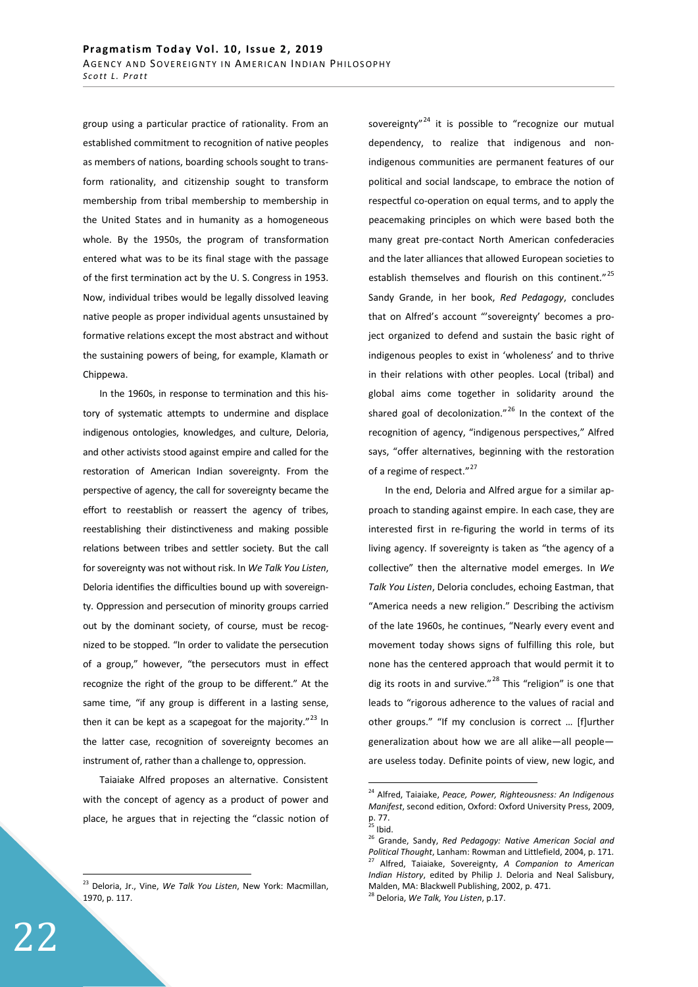group using a particular practice of rationality. From an established commitment to recognition of native peoples as members of nations, boarding schools sought to transform rationality, and citizenship sought to transform membership from tribal membership to membership in the United States and in humanity as a homogeneous whole. By the 1950s, the program of transformation entered what was to be its final stage with the passage of the first termination act by the U. S. Congress in 1953. Now, individual tribes would be legally dissolved leaving native people as proper individual agents unsustained by formative relations except the most abstract and without the sustaining powers of being, for example, Klamath or Chippewa.

In the 1960s, in response to termination and this history of systematic attempts to undermine and displace indigenous ontologies, knowledges, and culture, Deloria, and other activists stood against empire and called for the restoration of American Indian sovereignty. From the perspective of agency, the call for sovereignty became the effort to reestablish or reassert the agency of tribes, reestablishing their distinctiveness and making possible relations between tribes and settler society. But the call for sovereignty was not without risk. In *We Talk You Listen*, Deloria identifies the difficulties bound up with sovereignty. Oppression and persecution of minority groups carried out by the dominant society, of course, must be recognized to be stopped. "In order to validate the persecution of a group," however, "the persecutors must in effect recognize the right of the group to be different." At the same time, "if any group is different in a lasting sense, then it can be kept as a scapegoat for the majority." $^{23}$  In the latter case, recognition of sovereignty becomes an instrument of, rather than a challenge to, oppression.

Taiaiake Alfred proposes an alternative. Consistent with the concept of agency as a product of power and place, he argues that in rejecting the "classic notion of sovereignty"<sup>24</sup> it is possible to "recognize our mutual dependency, to realize that indigenous and nonindigenous communities are permanent features of our political and social landscape, to embrace the notion of respectful co-operation on equal terms, and to apply the peacemaking principles on which were based both the many great pre-contact North American confederacies and the later alliances that allowed European societies to establish themselves and flourish on this continent."<sup>25</sup> Sandy Grande, in her book, *Red Pedagogy*, concludes that on Alfred's account "'sovereignty' becomes a project organized to defend and sustain the basic right of indigenous peoples to exist in 'wholeness' and to thrive in their relations with other peoples. Local (tribal) and global aims come together in solidarity around the shared goal of decolonization."<sup>26</sup> In the context of the recognition of agency, "indigenous perspectives," Alfred says, "offer alternatives, beginning with the restoration of a regime of respect."<sup>27</sup>

In the end, Deloria and Alfred argue for a similar approach to standing against empire. In each case, they are interested first in re-figuring the world in terms of its living agency. If sovereignty is taken as "the agency of a collective" then the alternative model emerges. In *We Talk You Listen*, Deloria concludes, echoing Eastman, that "America needs a new religion." Describing the activism of the late 1960s, he continues, "Nearly every event and movement today shows signs of fulfilling this role, but none has the centered approach that would permit it to dig its roots in and survive."<sup>28</sup> This "religion" is one that leads to "rigorous adherence to the values of racial and other groups." "If my conclusion is correct … [f]urther generalization about how we are all alike—all people are useless today. Definite points of view, new logic, and

<sup>23</sup> Deloria, Jr., Vine, *We Talk You Listen*, New York: Macmillan, 1970, p. 117.

<sup>24</sup> Alfred, Taiaiake, *Peace, Power, Righteousness: An Indigenous Manifest*, second edition, Oxford: Oxford University Press, 2009, p. 77.

 $25$  Ibid.

<sup>26</sup> Grande, Sandy, *Red Pedagogy: Native American Social and Political Thought*, Lanham: Rowman and Littlefield, 2004, p. 171. 27 Alfred, Taiaiake, Sovereignty, *A Companion to American Indian History*, edited by Philip J. Deloria and Neal Salisbury, Malden, MA: Blackwell Publishing, 2002, p. 471. 28 Deloria, *We Talk, You Listen*, p.17.